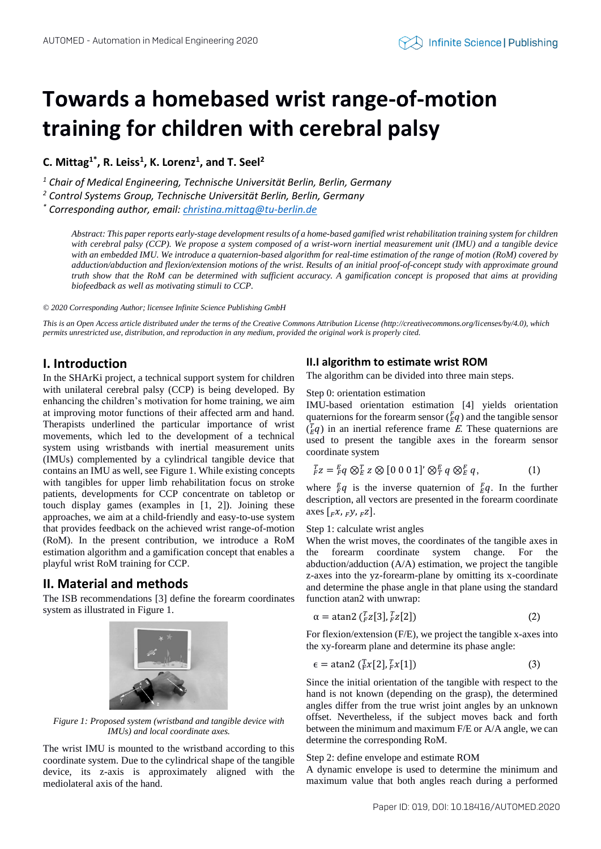# **Towards a homebased wrist range-of-motion training for children with cerebral palsy**

**C. Mittag1\*, R. Leiss<sup>1</sup> , K. Lorenz<sup>1</sup> , and T. Seel<sup>2</sup>**

*<sup>1</sup> Chair of Medical Engineering, Technische Universität Berlin, Berlin, Germany*

*<sup>2</sup> Control Systems Group, Technische Universität Berlin, Berlin, Germany*

*\* Corresponding author, email: [christina.mittag@tu-berlin.de](file:///C:/Users/c.mittag/tubCloud/Shared/SHArKi/05_Publikationen/Automed_2020/christina.mittag@tu-berlin.de)*

*Abstract: This paper reports early-stage development results of a home-based gamified wrist rehabilitation training system for children with cerebral palsy (CCP). We propose a system composed of a wrist-worn inertial measurement unit (IMU) and a tangible device with an embedded IMU. We introduce a quaternion-based algorithm for real-time estimation of the range of motion (RoM) covered by adduction/abduction and flexion/extension motions of the wrist. Results of an initial proof-of-concept study with approximate ground truth show that the RoM can be determined with sufficient accuracy. A gamification concept is proposed that aims at providing biofeedback as well as motivating stimuli to CCP.*

*© 2020 Corresponding Author; licensee Infinite Science Publishing GmbH*

*This is an Open Access article distributed under the terms of the Creative Commons Attribution License (http://creativecommons.org/licenses/by/4.0), which permits unrestricted use, distribution, and reproduction in any medium, provided the original work is properly cited.*

# **I. Introduction**

In the SHArKi project, a technical support system for children with unilateral cerebral palsy (CCP) is being developed. By enhancing the children's motivation for home training, we aim at improving motor functions of their affected arm and hand. Therapists underlined the particular importance of wrist movements, which led to the development of a technical system using wristbands with inertial measurement units (IMUs) complemented by a cylindrical tangible device that contains an IMU as well, see Figure 1. While existing concepts with tangibles for upper limb rehabilitation focus on stroke patients, developments for CCP concentrate on tabletop or touch display games (examples in [1, 2]). Joining these approaches, we aim at a child-friendly and easy-to-use system that provides feedback on the achieved wrist range-of-motion (RoM). In the present contribution, we introduce a RoM estimation algorithm and a gamification concept that enables a playful wrist RoM training for CCP.

# **II. Material and methods**

The ISB recommendations [3] define the forearm coordinates system as illustrated in Figure 1.



*Figure 1: Proposed system (wristband and tangible device with IMUs) and local coordinate axes.*

The wrist IMU is mounted to the wristband according to this coordinate system. Due to the cylindrical shape of the tangible device, its z-axis is approximately aligned with the mediolateral axis of the hand.

## **II.I algorithm to estimate wrist ROM**

The algorithm can be divided into three main steps.

Step 0: orientation estimation

IMU-based orientation estimation [4] yields orientation quaternions for the forearm sensor  $\binom{F}{E}q$  and the tangible sensor  $\left(\frac{T}{E}q\right)$  in an inertial reference frame E. These quaternions are used to present the tangible axes in the forearm sensor coordinate system

$$
{}_{F}^{T}z = {}_{F}^{E}q \otimes {}_{E}^{T}z \otimes [0 0 0 1]' \otimes {}_{T}^{E}q \otimes {}_{E}^{F}q,
$$
 (1)

where  $\frac{E}{F}q$  is the inverse quaternion of  $\frac{F}{E}q$ . In the further description, all vectors are presented in the forearm coordinate axes  $\left[$ *<sub>F</sub>x*, *Fy*, *Fz* $\right]$ .

#### Step 1: calculate wrist angles

When the wrist moves, the coordinates of the tangible axes in the forearm coordinate system change. For the abduction/adduction (A/A) estimation, we project the tangible z-axes into the yz-forearm-plane by omitting its x-coordinate and determine the phase angle in that plane using the standard function atan2 with unwrap:

$$
\alpha = \text{atan2} \left( \frac{T}{F} z[3], \frac{T}{F} z[2] \right) \tag{2}
$$

For flexion/extension (F/E), we project the tangible x-axes into the xy-forearm plane and determine its phase angle:

$$
\epsilon = \text{atan2} \left( \frac{T}{F} x[2], \frac{T}{F} x[1] \right) \tag{3}
$$

Since the initial orientation of the tangible with respect to the hand is not known (depending on the grasp), the determined angles differ from the true wrist joint angles by an unknown offset. Nevertheless, if the subject moves back and forth between the minimum and maximum F/E or A/A angle, we can determine the corresponding RoM.

#### Step 2: define envelope and estimate ROM

A dynamic envelope is used to determine the minimum and maximum value that both angles reach during a performed